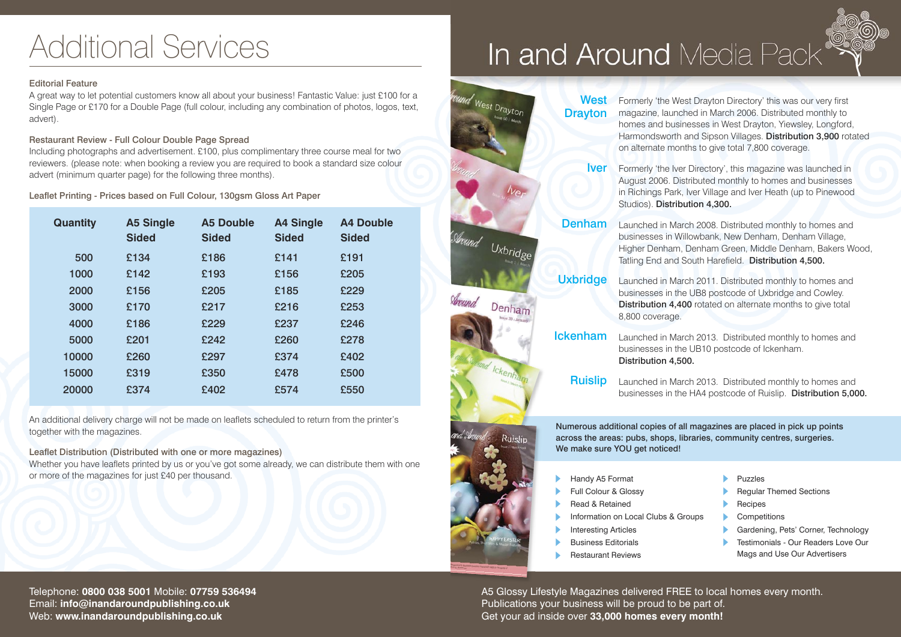# Additional Services

### Editorial Feature

A great way to let potential customers know all about your business! Fantastic Value: just £100 for a Single Page or £170 for a Double Page (full colour, including any combination of photos, logos, text, advert).

### Restaurant Review - Full Colour Double Page Spread

Including photographs and advertisement. £100, plus complimentary three course meal for two reviewers. (please note: when booking a review you are required to book a standard size colour advert (minimum quarter page) for the following three months).

Leaflet Printing - Prices based on Full Colour, 130gsm Gloss Art Paper

| <b>Quantity</b> | <b>A5 Single</b><br><b>Sided</b> | <b>A5 Double</b><br><b>Sided</b> | <b>A4 Single</b><br><b>Sided</b> | <b>A4 Double</b><br><b>Sided</b> |
|-----------------|----------------------------------|----------------------------------|----------------------------------|----------------------------------|
| 500             | £134                             | £186                             | £141                             | £191                             |
| 1000            | £142                             | £193                             | £156                             | £205                             |
| 2000            | £156                             | £205                             | £185                             | £229                             |
| 3000            | £170                             | £217                             | £216                             | £253                             |
| 4000            | £186                             | £229                             | £237                             | £246                             |
| 5000            | £201                             | £242                             | £260                             | £278                             |
| 10000           | £260                             | £297                             | £374                             | £402                             |
| 15000           | £319                             | £350                             | £478                             | £500                             |
| 20000           | £374                             | £402                             | £574                             | £550                             |

An additional delivery charge will not be made on leaflets scheduled to return from the printer's together with the magazines.

Leaflet Distribution (Distributed with one or more magazines) Whether you have leaflets printed by us or you've got some already, we can distribute them with one or more of the magazines for just £40 per thousand.



**Denham** Launched in March 2008. Distributed monthly to homes and

Around Uxbridge

Denham

Ruislin

**Uxbridge** 

Launched in March 2011. Distributed monthly to homes and businesses in the UB8 postcode of Uxbridge and Cowley. Distribution 4,400 rotated on alternate months to give total 8,800 coverage.

businesses in Willowbank, New Denham, Denham Village, Higher Denham, Denham Green, Middle Denham, Bakers Wood,

Tatling End and South Harefield. Distribution 4,500.

**Ickenham** Launched in March 2013. Distributed monthly to homes and businesses in the UB10 postcode of Ickenham. Distribution 4,500.

Ruislip Launched in March 2013. Distributed monthly to homes and businesses in the HA4 postcode of Ruislip. Distribution 5,000.

Numerous additional copies of all magazines are placed in pick up points across the areas: pubs, shops, libraries, community centres, surgeries. We make sure YOU get noticed!

- Handy A5 Format
- Full Colour & Glossy ss se de de de de
- Read & Retained
- Information on Local Clubs & Groups
- Interesting Articles
- Business Editorials
- Restaurant Reviews
- Puzzles
- Regular Themed Sections ssssss
- Recipes
- Competitions ь
- Gardening, Pets' Corner, Technology
- Testimonials Our Readers Love Our Mags and Use Our Advertisers

A5 Glossy Lifestyle Magazines delivered FREE to local homes every month. Publications your business will be proud to be part of. Get your ad inside over **33,000 homes every month!**

Telephone: **0800 038 5001** Mobile: **07759 536494** Email: **info@inandaroundpublishing.co.uk** Web: **www.inandaroundpublishing.co.uk**